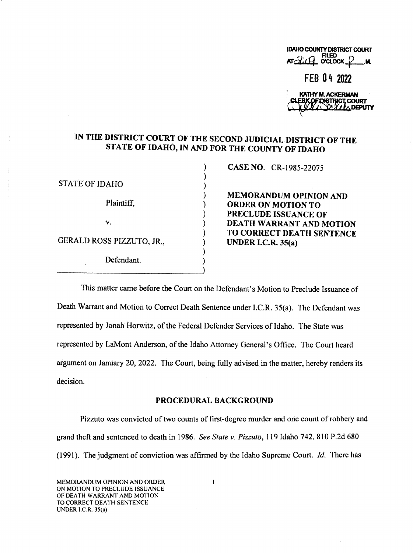| <b>IDAHO COUNTY DISTRICT COURT</b><br>$ATZLQT$ octoor $P_M$ |  |
|-------------------------------------------------------------|--|
| FEB 04 2022                                                 |  |

| KATHY M. ACKERMAN     |  |
|-----------------------|--|
| CLERKOFOISTRICT.COURT |  |
|                       |  |

# IN THE DISTRICT COURT OF THE SECOND JUDICIAL DISTRICT OF THE STATE OF IDAHO, IN AND FOR THE COUNTY OF IDAHO

 $\lambda$  $\mathcal{E}$ Ι

STATE OF IDAHO

GERALD ROSS PIZZUTO, JR.,  $\qquad \qquad$  UNDER I.C.R. 35(a)

Defendant.

CASE NO. CR-1985-22075

MEMORANDUM OPINION AND Plaintiff,  $\qquad \qquad$  ORDER ON MOTION TO PRECLUDE ISSUANCE OF v.<br>
(a) DEATH WARRANT AND MOTION<br>
(b) TO CORRECT DEATH SENTENCE

This matter came before the Court on the Defendant's Motion to Preclude Issuance of Death Warrant and Motion to Correct Death Sentence under I.C.R. 35(3). The Defendant was represented by Jonah Horwitz, of the Federal Defender Services of Idaho. The State was represented by LaMont Anderson, of the Idaho Attorney General's Office. The Court heard argument on January 20, 2022. The Court, being fully advised in the matter, hereby renders its decision.

#### PROCEDURAL BACKGROUND

Pizzuto was convicted of two counts of first-degree murder and one count ofrobbery and grand thefi and sentenced to death in 1986. See State v. Pizzuto, 119 Idaho 742, 810 P.2d 680 (1991). The judgment of conviction was affirmed by the Idaho Supreme Court. 1d. There has

 $\mathbf{I}$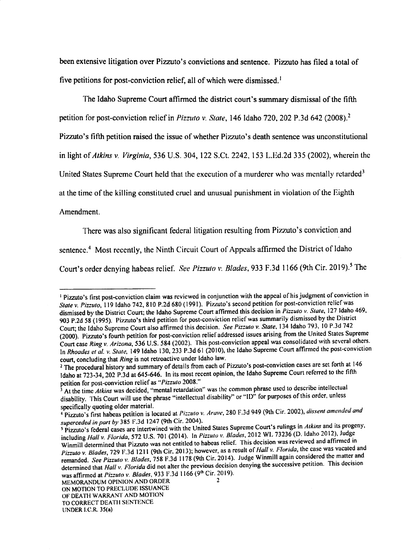been extensive litigation over Pizzuto's convictions and sentence. Pizzuto has filed a total of five petitions for post-conviction relief, all of which were dismissed.<sup>1</sup>

The Idaho Supreme Court affirmed the district court's summary dismissal of the fifth

petition for post-conviction relief in Pizzuto v. State, 146 Idaho 720, 202 P.3d 642 (2008).<sup>2</sup>

Pizzuto's fifih petition raised the issue of whether Pizzuto's death sentence was unconstitutional

in light of Atkins v. Virginia, 536 U.S. 304, 122 S.Ct. 2242, 153 L.Ed.2d 335 (2002), wherein the

United States Supreme Court held that the execution of a murderer who was mentally retarded<sup>3</sup>

at the time of the killing constituted cruel and unusual punishment in violation of the Eighth

Amendment.

There was also significant federal litigation resulting from Pizzuto's conviction and

sentence.<sup>4</sup> Most recently, the Ninth Circuit Court of Appeals affirmed the District of Idaho

Court's order denying habeas relief. See Pizzuto v. Blades, 933 F.3d 1166 (9th Cir. 2019).<sup>5</sup> The

Pizzuto's first post-conviction claim was reviewed in conjunction with the appeal of his judgment of conviction in State v. Pizzuto, 119 Idaho 742, 810 P.2d 680 (1991). Pizzuto's second petition for post-conviction relief was dismissed by the District Court; the Idaho Supreme Court affirmed this decision in Pizzuto v. State, 127 Idaho 469, 903 P.2d 58 (1995). Pizzuto's third petition for post-conviction relief was summarily dismissed by the District Court; the Idaho Supreme Court also affirmed this decision. See Pizzuto v. State, 134 Idaho 793, 10 P.3d 742 (2000). Pizzuto's fourth petition for post-conviction relief addressed issues arising from the United States Supreme Court case Ring v. Arizona, <sup>536</sup> U.S. <sup>584</sup> (2002). This post-conviction appeal was consolidated with several others. In Rhoades et al. v. State, 149 Idaho 130, 233 P.3d 61 (2010), the Idaho Supreme Court affirmed the post-conviction court, concluding that Ring is not retroactive under Idaho law.

The procedural history and summary of details from each of Pizzuto's post-conviction cases are set forth at 146 Idaho at 723-34, 202 P.3d at 645-646. In its most recent opinion, the Idaho Supreme Court referred to the fifth petition for post-conviction relief as "Pizzuto 2008."

petition for post-conviction relief as "Pizzuio 2006.<br>At the time Atkins was decided, "mental retardation" was the common phrase used to describe intellectual disability. 'I'his Court will use the phrase "intellectual disability" or "ID" for purposes of this order, unless

specifically quoting older material.<br><sup>4</sup> Pizzuto's first habeas petition is located at *Pizzuto v. Aruve*, 280 F.3d 949 (9th Cir. 2002), *dissent amended and* 

superceded in part by 385 F.3d 1247 (9th Cir. 2004).<br><sup>5</sup> Pizzuto's federal cases are intertwined with the United States Supreme Court's rulings in Atkins and its progeny, including Hall v. Florida, 572 U.S. 701 (2014). In Pizzuto v. Blades, 2012 WL 73236 (D. Idaho 2012), Judge Winmill determined that Pizzuto was not entitled to habeas relief. This decision was reviewed and affirmed in Pizzuto v. Blades, 729 F.3d 1211 (9th Cir. 2013); however, as a result of Hall v. Florida, the case was vacated and remanded. See Pizzuto v. Blades, 758 F.3d 1178 (9th Cir. 2014). Judge Winmill again considered the matter and determined that Hall v. Florida did not alter the previous decision denying the successive petition. This decision determined that Hall v. Florida did not alter the previous decision denying the successive petition. This d was affirmed at Pizzuto v. Blades, 933 F.3d 1166 (9th Cir. 2019).

UNDER I.C.R. 35(a)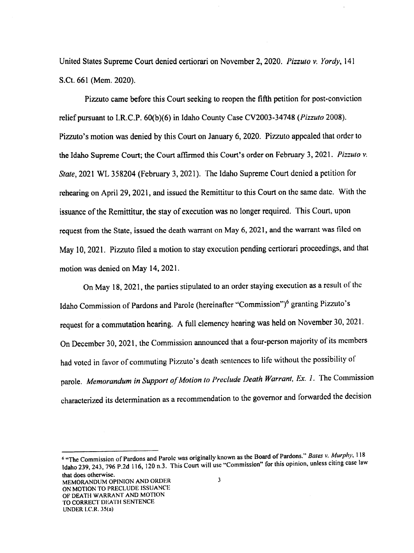United States Supreme Court denied certiorari on November 2, 2020. Pizzuto v. Yordy, 141 S.Ct. 661 (Mem. 2020).

Pizzuto came before this Court seeking to reopen the fifih petition for post-conviction relief pursuant to I.R.C.P. 60(b)(6) in Idaho County Case CV2003-34748 (*Pizzuto* 2008). Pizzuto's motion was denied by this Court on January 6, 2020. Pizzuto appealed that order to the Idaho Supreme Court; the Court affirmed this Court's order on February 3, 2021. Pizzuto v. State, 2021 WL 358204 (February 3, 2021). The Idaho Supreme Court denied a petition for rehearing on April 29, 2021, and issued the Remittitur to this Court on the same date. With the issuance of the Remittitur, the stay of execution was no longer required. This Court, upon request from the State, issued the death warrant on May 6, 2021, and the warrant was filed on May 10, 2021. Pizzuto filed a motion to stay execution pending certiorari proceedings, and that motion was denied on May l4, 2021.

On May 18, 2021, the parties stipulated to an order staying execution as a result of the Idaho Commission of Pardons and Parole (hereinafter "Commission")<sup>6</sup> granting Pizzuto's request for a commutation hearing. A full clemency hearing was held on November 30, 2021. On December 30, 2021, the Commission announced that a four-person majority of its members had voted in favor of commuting Pizzuto's death sentences to life without the possibility of parole. Memorandum in Support of Motion to Preclude Death Warrant, Ex. 1. The Commission characterized its determination as recommendation to the governor and forwarded the decision

<sup>&</sup>quot;The Commission of Pardons and Parole was originally known as the Board of Pardons." *Bates v. Murphy*, 118 Idaho 239, 243, 796 P.2d 116, 120 n.3. This Court will use "Commission" for this opinion, unless citing case law that does otherwise.  $\overline{\mathbf{3}}$ MEMORANDUM OPINION AND ORDER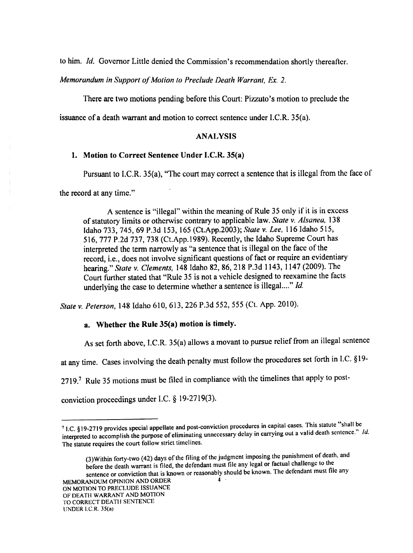to him. Id. Governor Little denied the Commission's recommendation shortly thereaficr.

Memorandum in Support of Motion to Preclude Death Warrant, Ex. 2.

There are two motions pending before this Court: Pizzuto's motion to preclude the

issuance of a death warrant and motion to correct sentence under I.C.R. 35(a).

## ANALYSIS

#### 1. Motion to Correct Sentence Under I.C.R. 35(a)

Pursuant to I.C.R. 35(a), "The court may correct a sentence that is illegal from the face of

the record at any time."

A sentence is "illegal" within the meaning of Rule 35 only if it is in excess of statutory limits or otherwise contrary to applicable law. State v. Alsanea, 138 Idaho 733, 74S, 69 P.3d 153, <sup>165</sup> (Ct.App.2003); State v.Lee, 116 Idaho 515, 516, 777 P.2d 737, 738 (Ct.App.1989). Recently, the Idaho Supreme Court has interpreted the term narrowly as "a sentence that is illegal on the face of the record, i.e., does not involve significant questions of fact or require an evidentiary hearing." State v. Clements, 148 Idaho 82, 86, 218 P.3d 1143, 1147 (2009). The Court further stated that "Rule 35 is not a vehicle designed to reexamine the facts underlying the case to determine whether a sentence is illegal...." Id.

State v. Peterson, 148 Idaho 610, 613, 226 P.3d 552, 555 (Ct. App. 2010).

# a. Whether the Rule 35(a) motion is timely.

As set forth above, I.C.R. 35(a) allows a movant to pursue relief from an illegal sentence

at any time. Cases involving the death penalty must follow the procedures set forth in I.C. §l9-

2719.<sup>7</sup> Rule 35 motions must be filed in compliance with the timelines that apply to post-

conviction proceedings under I.C.  $§$  19-2719(3).

I.C. §19-2719 provides special appellate and post-conviction procedures in capital cases. The elementary in the element of the purpose of eliminating unnecessary delay in carrying out a valid death sentence." *Id.* and post-conviction procedures in capital cases. This statute "shall be<br>all death contance." Id. The statute requires the court follow strict timclines.

<sup>(3)</sup> Within forty-two (42) days of the filing of the judgment imposing the punishment of death, and before the death warrant is filed, the defendant must file any legal or factual challenge to the sentence or conviction that is known or reasonably should be known. The defendant must file any MEMORANDUM OPINION AND ORDER ON MOTION TO PRECLUDE ISSUANCE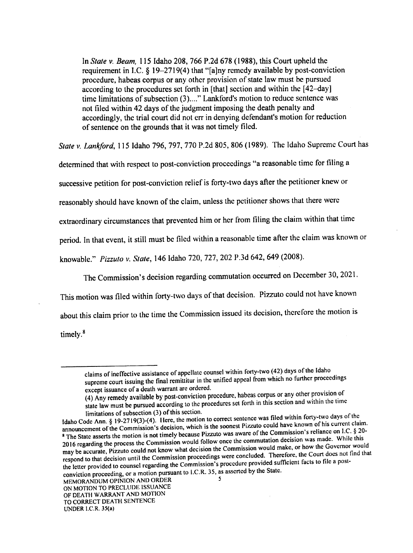$\frac{1}{2}$  step  $\frac{1}{2}$   $\frac{1}{6}$   $\frac{8}{2}$   $\frac{10}{2}$   $\frac{2710}{4}$  that if  $\frac{1}{2}$  here up the court upheld the up the court upheld the set of the court upheld the set of the court upheld the set of the court upheld t  $r$  are given that  $\mathcal{A}$  are media available by post-conviction by post-conviction  $\mathcal{A}$  $\mu$  according to the procedures set forth in [that] section and within the [42–day] time limitations of subsection (3)...." Lankford's motion to reduce sentence was  $\frac{1}{2}$  in the motion of subsection (3)...." Landscale was not filed within 42 days of the judgment imposing the death penalty and  $\frac{1}{2}$  denotes the death  $\frac{1}{2}$  days of the death penalty and the death penalty and death penalty and death penalty and death  $\frac{1}{2}$ accordingly, the trial court did not err in denying defendant's motion for reduction of sentence on the grounds that it was not timely filed.

State v. Lanlrford, <sup>115</sup> Idaho 796, 797, <sup>770</sup> P.2d 805, <sup>806</sup> (1989). The Idaho Supreme Court has

determined that with to post-conviction proceedings "a reasonable time for filing successive petition for post-conviction relief is forty-two days after the petitioner knew or reasonably should have known of the claim, unless the petitioner shows that there were extraordinary circumstances that prevented him or her from filing the claim within that time period. In that event, it still must be filed within a reasonable time after the claim was known or knowable." Pizzuto v. State, 146 Idaho 720, 727, 202 P.3d 642, 649 (2008).

The Commission's decision regarding commutation occurred on December 30, 2021. This motion was filed within forty-two days of that decision. Pizzuto could not have known about this claim prior to the time the Commission issued its decision, therefore the motion timely.<sup>8</sup>

claims of ineffective assistance of appellate counsel within  $\log$  ( $\log$ ) days  $\log$  and  $\log$ supreme court issuing the final remittium in the unified appeal from which no  $\frac{1}{2}$ 

except issuance of death warrant are ordered. (4) Any remedy available by post-conviction procedure, habeas corpus or any other provision of state law must be pursued according to the procedures set forth in this section and within the time

limitations of subsection (3) of this section.<br>Idaho Code Ann. § 19-2719(3)-(4). Here, the motion to correct sentence was filed within forty-two days of the Idaho Code Ann.  $\S$  19-2719(3)-(4). Here, the motion to correct sentence was filed with four of the current claim announcement of the Commission's decision, which is the soonest Pizzuto could have known of the current  $\int_{\mathcal{S}} 8.20$ -<sup>8</sup> The State asserts the motion is not timely because Pizzuto was aware of the Commission's reliance on I.C. § 20-2016 regarding the process the Commission would follow once the commutation west the  $\Omega$  while  $\Omega$  were regarded. may be accurate, Pizzuto could not know what decision the Commission would make, or how the Governor would may be accurate, Pizzuto could not know what decision the Commission would make, or how the Governor would hat respond to that decision until the Commission proceedings were concluded. Therefore, the Court does not find th<br>Concluded that does not find that the Court of the Court of the concluded to the court does not find that the the letter provided to counsel regarding the Commission's procedure provided surface  $\frac{1}{2}$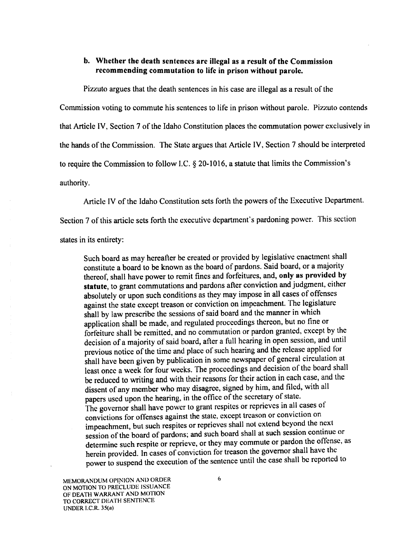# b. Whether the death sentences are illegal as a result of the Commission recommending commutation to life in prison without parole.

Pizzuto argues that the death sentences in his case are illegal as a result of the

Commission voting to commute his sentences to life in prison without parole. Pizzuto contends

that Article IV, Section 7 of the Idaho Constitution places the commutation power exclusively in

the hands of the Commission. The State argues that Article IV, Section 7 should be interpreted

to require the Commission to follow I.C.  $\S$  20-1016, a statute that limits the Commission's

authority.

Article lV of the Idaho Constitution sets forth the powers of the Executive Department.

Section 7 of this article sets forth the executive department's pardoning power. This section

states in its entirety:

Such board as may hereafter be created or provided by legislative enactment shall constitute a board to be known as the board of pardons. Said board, or a majority thereof, shall have power to remit fines and forfeitures, and, only as provided by statute, to grant commutations and pardons after conviction and judgment, either absolutely or upon such conditions as they may impose in all cases of offenses against the state except treason or conviction on impeachment. The legislature shall by law prescribe the sessions of said board and the manner in which application shall be made, and regulated proceedings thereon, but no tine or forfeiture shall be remitted, and no commutation or pardon granted, except by the decision of a majority of said board, after a full hearing in open session, and until previous notice of the time and place of such hearing and the release applied for shall have been given by publication in some newspaper of general circulation at least once a week for four weeks. The proceedings and decision of the board shall be reduced to writing and with their reasons for their action in each case, and the dissent of any member who may disagree, signed by him, and filed, with all papers used upon the hearing, in the office of the secretary of state. The governor shall have power to grant respites or rcprieves in all cases of convictions for offenses against the state, except treason or conviction on impeachment, but such respites or reprieves shall not extend beyond the next<br>simple to such a spite of the spite of the spite of the spite of the spite of the spite of the spite of the spite of the spite of the spite of th session of the board of pardons; and such board shall at such session continue or determine such respite or reprieve, or they may commute or pardon the offense, as herein provided. In cases of conviction for treason the governor shall have the power to suspend the execution of the sentence until the case shall be reported to

MEMORANDUM OPINION AND ORDER ON MOTION TO PRECLUDE ISSUANCE ()F DEATH WARRANT AND MOTION TO CORRECT DEATH SENTENCE UNDER l.C.R. 35(a)

6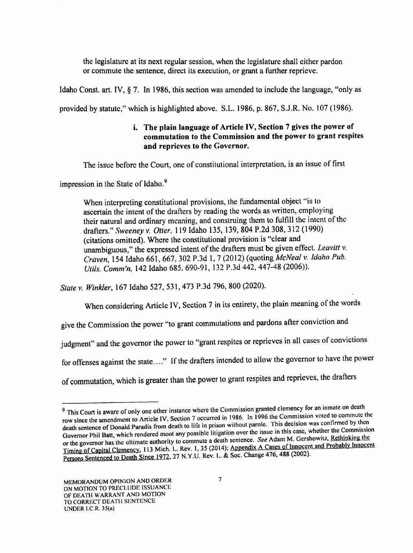the legislature at its next regular session, when the legislature shall either pardon or commute the sentence, direct its execution, or grant a further reprieve.

Idaho Const. art. IV,  $\S$  7. In 1986, this section was amended to include the language, "only as

provided by statute," which is highlighted above. S.L. 1986, p. 867, S.J.R. No. <sup>107</sup> (1986).

# i. The plain language of Article IV, Section  $7$  gives the power of commutation to the Commission and the power to grant respites and reprieves to the Governor.

The issue before the Court, one of constitutional interpretation, is an issue of first

impression in the State of Idaho.°

When interpreting constitutional provisions. the fundamental object "is to ascertain the intent of the drafters by reading the words as written, employing their natural and ordinary meaning, and construing them to fulfill the intent of the drafters." Sweeney v. Otter. <sup>119</sup> Idaho 135, 139, <sup>804</sup> P.2d 308, <sup>312</sup> (1990) (citations omitted). Where the constitutional provision is "clear and unambiguous," the expressed intent of the drafters must be given effect. Leavitt  $v$ . Craven, 154 Idaho 661, 667, 302 P.3d 1, 7 (2012) (quoting McNeal v. Idaho Pub. Utils. Comm'n, <sup>142</sup> Idaho 685, 690-91, <sup>132</sup> P.3d 442, 447-48 (2006)).

State v. Winkler, 167 Idaho 527, 531, 473 P.3d 796, 800 (2020).

When considering Article IV, Section 7 in its entirety, the plain meaning of the words

give the Commission the power "to grant commutations and pardons after conviction and

judgment" and the governor the power to "grant respites or reprieves in all cases of convictions

for offenses against the state...." If the drafters intended to allow the governor to have the power

of commutation, which is greater than the power to grant respites and reprieves, the drafiers

This Court is aware of only one other instance where the Commission granted clemency for an inmate on death<br>This Court is aware of only one other instance where the Commission and Commission voted to commute the row since the amendment to Article IV, Section 7 occurred in 1986. In 1996 the Commission voted to commute the Fow since the amendment to Atticle 19, Security is in prison without parole. This decision was confirmed by then<br>death sentence of Donald Paradis from death to life in prison without parol is this case, whether the Commiss Governor Phil Batt, which rendered moot any possible litigation over the issue in this case, whence are detrinking the<br>or the governor has the ultimate authority to commute a death sentence. See Adam M. Gershowitz, Rethink Governor Phil Batt, which rendered moot any possible litigation over the issue in this case, whether the Commission or the governor has the ultimate authority to commute a death sentence. See Adam M. Corporation, and all probably Innocent<br>Timing of Capital Clemency, 113 Mich. L. Rev. 1, 35 (2014); Appendix A Cases of Innocent and Probab Persons Sentenced to Death Since 1972, 27 N.Y.U. Rev. L. & Soc. Change 476, 488 (2002).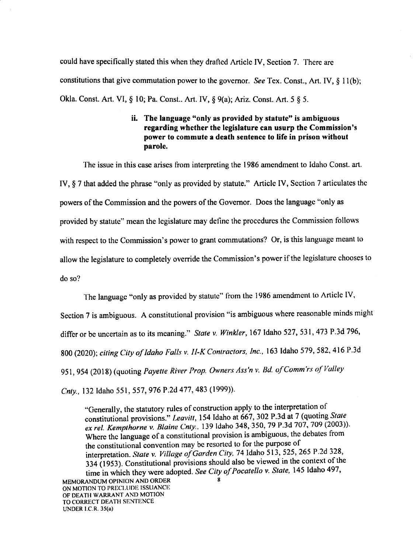could have specifically stated this when they drafted Article IV, Section 7. There are constitutions that give commutation power to the governor. See Tex. Const., Art. IV,  $\S 11(b)$ ; Okla. Const. Art. VI, § 10; Pa. Const.. Art. IV, § 9(a); Ariz. Const. Art. 5. § 5.

> ii. The language "only as provided by statute" is ambiguous regarding whether the legislature can usurp the Commission's power to commute a death sentence to life in prison without parole.

The issue in this case arises from interpreting the 1986 amendment to Idaho Const. art. IV, § 7 that added the phrase "only as provided by statute." Article IV, Section 7 articulates the powers of the Commission and the powers of the Governor. Does the language "only as provided by statute" mean the legislature may define the procedures the Commission follows with respect to the Commission's power to grant commutations? Or, is this language meant to allow the legislature to completely override the Commission's power if the legislature chooses to do so?

The language "only as provided by statute" from the 1986 amendment to Article IV,

Section 7 is ambiguous. A constitutional provision "is ambiguous where reasonable minds might

differ or be uncertain as to its meaning." State v. Winkler, 167 Idaho 527, 531, 473 P.3d 796,

800 (2020); citing City of Idaho Falls v. H-K Contractors, Inc., 163 Idaho 579, 582, 416 P.3d

951, 954 (2018) (quoting Payette River Prop. Owners Ass'n v. Bd. of Comm'rs of Valley

Cnty., <sup>132</sup> Idaho 551, 557, 976 P.2d 477, <sup>483</sup> (1999)).

"Generally, the statutory rules of construction apply to the interpretation of constitutional provisions." Leavitt, 154 Idaho at 667, 302 P.3d at 7 (quoting State ex rel. Kempthorne v. Blaine Cnty., 139 Idaho 348, 350, 79 P.3d 707, 709 (2003)). Where the language of a constitutional provision is ambiguous, the debates from the constitutional convention may be resorted to for the purpose of interpretation. State v. Village of Garden City, 74 Idaho 513, 525, 265 P.2d 328,  $334$  (1953). Constitutional provisions should also be viewed in the context of the time in which they were adopted. See City of Pocatello v. State, 145 Idaho 497, MEMORANDUM OPINION AND ORDER ON MOTION TO PRECLUDE ISSUANCE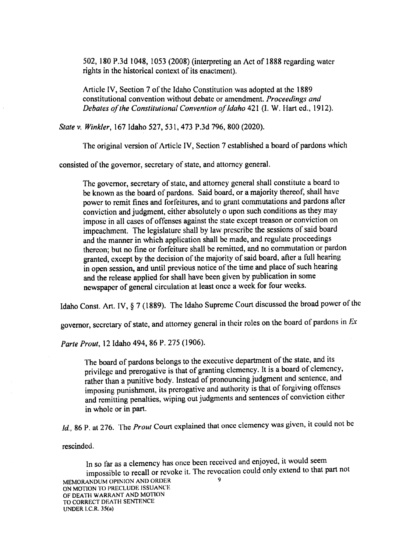5.02, <sup>180</sup> P.3d 1048, <sup>1053</sup> (2008) (interpreting an Act of <sup>1888</sup> regarding watcr nghts in the historical context of its enactment).

Article IV, Section 7 of the Idaho Constitution was adopted at the 1889 constitutional convention without debate or amendment. Proceedings and Debates of the Constitutional Convention of Idaho 421 (I. W. Hart ed., 1912).

State v.Winkler, 167 Idaho 527, 531, 473 P.3d 796, 800 (2020).

The original version of Article IV, Section 7 established a board of pardons which

consisted of the governor, secretary of state, and attorney general.

The governor, secretary of state, and attorney general shall constitute a board to be known as the board of pardons. Said board, or a majority thereof, shall have power to remit fines and forfeitures, and to grant commutations and pardons after conviction and judgment, either absolutely o upon such conditions as they may impose in all cases of offenses against the state except treason or conviction on impeachment. The legislature shall by law prescribe the sessions of said board and the manner in which application shall be made, and regulate proceedings thereon; but no fine or forfeiture shall be remitted, and no commutation or pardon granted, except by the decision of the majority of said board, after a full hearing in open session, and until previous notice of the time and place of such hearing and the release applied for shall have been given by publication in some newspaper of general circulation at least once a week for four weeks.

Idaho Const. Art. IV, § 7 (1889). The Idaho Supreme Court discussed the broad power of the

governor, secretary of state, and attorney general in their roles on the board of pardons in  $Ex$ 

Parte Prout, 12 Idaho 494, 86 P. 275 (1906).

The board of pardons belongs to the executive department of the state, and its privilege and prerogative is that of granting ciclicity. It is a beard of order than a punitive body. Instead of pronouncing judgment and sentence, and and prerogative is that of granting clemency. It is a board of clemency, imposing punishment, and remitting penalties, wiping out judgments and sentences of conviction either its prerogative and authority is that of forgiving offenses in whole or in part.

Id., 86 P. at 276. The *Prout* Court explained that once clemency was given, it could not be

rescinded.

In so far as a clemency has once been received and enjoyed, it would seem impossible to recall or revoke it. The revocation could only extend to that part not MEMORANDUM OPINION AND ORDER ON MOTION TO PRECLUDE ISSUANCE OF DEATH WARRANT AND MOTION TO CORRECT DEATH SENTENCE UNDER I.C.R. 35(a)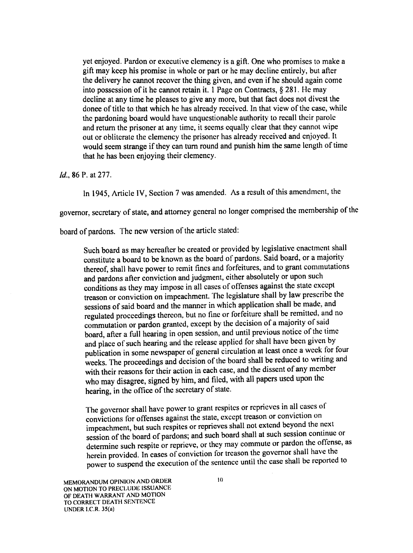yet enjoyed. Pardon or executive clemency is a gift. One who promises to make a gift may keep his promise in whole or part or he may decline entirely, but after the delivery he cannot recover the thing given, and even if he should again come into possession of it he cannot retain it. 1 Page on Contracts,  $\S 281$ . He may decline at any time he pleases to give any more, but that fact does not divest the donee of title to that which he has already received. In that view of the case, while the pardoning board would have unquestionable authority to recall their parole and return the prisoner at any time, it seems equally clear that they cannot wipe out or obliterate the clemency the prisoner has already received and enjoyed. It would seem strange if they can turn round and punish him the same length of time that he has been enjoying their clemency.

#### 1d.. 86 P. at 277.

ln 1945, Article IV, Section 7 was amended. As a result of this amendment, the

governor, secretary of state, and attorney general no longer comprised the membership of the

board of pardons. The new version of the article stated:

Such board as may hereafter be created or provided by legislative enactment shall constitute a board to be known as the board of pardons. Said board, or a majority thereof, shall have power to remit fines and forfeitures, and to grant commutations and pardons after conviction and judgment, either absolutely or upon such conditions as they may impose in all cases of offenses against the state except treason or conviction on impeachment. The legislature shall by law prescribe the sessions of said board and the manner in which application shall be made, and regulated proceedings thereon, but no line of fortchure share be remisted, the association or pardon granted, except by the decision of a majority of said regulated proceedings thereon, but no fine or forfeiture shall be remitted, and no board, after a full hearing in open session, and until previous notice of the time and place of such hearing and the release applied for shall have been given by publication in some newspaper of general encluding at reduced to writing and<br>weeks. The proceedings and decision of the board shall be reduced to writing and publication in some newspaper of general circulation at least once a week for four with their reasons for their action in each case, and the dissent of any member who may disagree, signed by him, and filed, with all papers used upon the hearing, in the office of the secretary of state.

The governor shall have power to grant respites or reprieves in all cases of convictions for offenses against the state, except treason or conviction on impeachment, but such respites or reprieves shall not extend beyond the next session of the board of pardons; and such board shall at such session continue or determine such respite or reprieve, or they may commute or pardon the offense, as herein provided. In cases of conviction for treason the governor shall have the power to suspend the execution of the sentence until the ease shall be reported to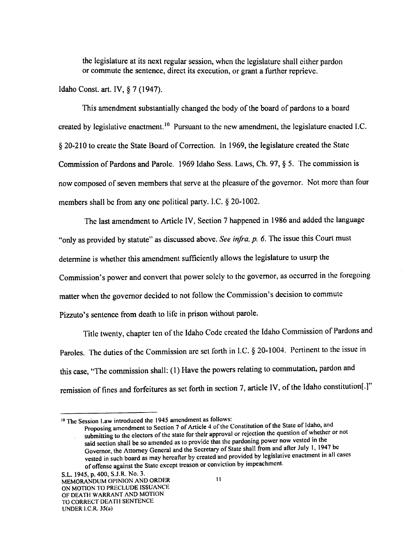the legislature at its next regular session, when the legislature shall either pardon or commute the sentence, direct its execution, or grant a further reprieve.

Idaho Const. art. IV,  $§ 7(1947)$ .

This amendment substantially changed the body of the board of pardons to a board created by legislative enactment.<sup>10</sup> Pursuant to the new amendment, the legislature enacted I.C. 20-210 to create the State Board of Correction. ln I969, the legislature created the State Commission of Pardons and Parole. 1969 Idaho Sess. Laws, Ch. 97, § 5. The commission is now composed of seven members that serve at the pleasure of the governor. Not more than four members shall be from any one political party. I.C.  $\S$  20-1002.

The last amendment to Article IV, Section 7 happened in 1986 and added the language "only as provided by statute" as discussed above. See infra, p. 6. The issue this Court must determine is whether this amendment sufficiently allows the legislature to usurp the Commission's power and convert that power solely to the govemor, as occurred in the foregoing matter when the governor decided to not follow the Commission's decision to commute Pizzuto's sentence from death to life in prison without parole.

Title twenty, chapter ten of the Idaho Code created the Idaho Commission of Pardons and Paroles. The duties of the Commission are set forth in I.C. § 20-1004. Pertinent to the issue in this case, "The commission shall: (1) Have the powers relating to commutation, pardon and remission of fines and forfeitures as set forth in section 7, article IV, of the Idaho constitution[.]"

<sup>&</sup>lt;sup>10</sup> The Session Law introduced the 1945 amendment as follows:

Proposing amendment to Section 7 of Article 4 of the Constitution of the State of Idaho, and submitting to the electors of the state for their approval or rejection the question of whether or not said section shall be so amended as to provide that the pardoning power now vested in the Governor, the Attorney General and the Secretary of State shall from and alter July l, <sup>1947</sup> be vested in such board as may hereafter by created and provided by legislative enactment in all cases of offense against the State except treason or conviction by impeachment.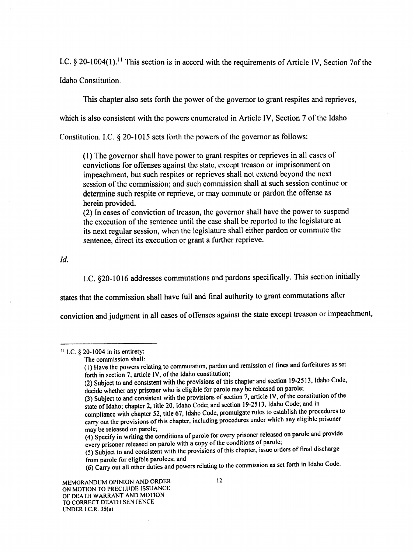I.C.  $\S$  20-1004(1).<sup>11</sup> This section is in accord with the requirements of Article IV, Section 70f the

Idaho Constitution.

This chapter also sets forth the powcr of thc governor to grant respitcs and rcprievcs,

which is also consistent with the powers enumerated in Article IV, Section 7 of the Idaho

Constitution. I.C.  $\&$  20-1015 sets forth the powers of the governor as follows:

(l) The governor shall have power to grant rcspites or reprieves in all cases of convictions for offenses against the state, except treason or imprisonment on impeachment, but such respites or reprieves shall not extend beyond the next session of the commission; and such commission shall at such session continue or determine such respite or reprieve, or may commute or pardon the offense as herein provided.

(2) In cases of conviction of treason, the governor shall have the power to suspend the execution of the sentence until the case shall be reported to the legislature at its next regular session, when the legislature shall either pardon or commute the sentence, direct its execution or grant a further reprieve.

Id.

l.C. §20-1016 addresses eommutations and pardons specifically. This section initially

states that the commission shall have full and final authority to grant commutations after

conviction and judgment in all eases of offenses against the state except treason or impeachment,

 $11$  LC.  $\$$  20-1004 in its entirety:

(2) Subject to and consistent with the provisions of this enapter and section 12 22.<br>decide whether any prisoner who is eligible for parole may be released on parole; (2) Subject to and consistent with the provisions of this chapter and section 19-2513, Idaho Code,

- (4) Specify in writing the conditions of parole for every prisoner released on parole and provide<br>and provide the conditions of parole: every prisoner released on parole with a copy of the conditions of parole;
- every prisoner (5) Subject to and consistent with the provisions of this chapter, issue orders of final discharge from parole for eligible parolees; and

(6) Carry out all other duties and powers relating to the commission as set forth in Idaho Code.

The commission shall:

<sup>(</sup>l) Have thc powers relating to commutation, pardon and remission of fines and forfeitures as set forth in section 7, article IV, of the Idaho constitution;

<sup>(3)</sup> Subject to and consistent with the provisions of section 7, article IV, of the constitution of the (3) Subject to and consistent with the provisions of section 10.2612, Ideas Code: and in state of Idaho: chapter 2, title 20, Idaho Code; and section l9-25I3, Idaho Code; and in

compliance with chapter 52, title 67, Idaho Code, promulgate rules rules to establish the procedures to carry out the provisions of this chapter, including procedures under which any eligible prisoner may be released on parole;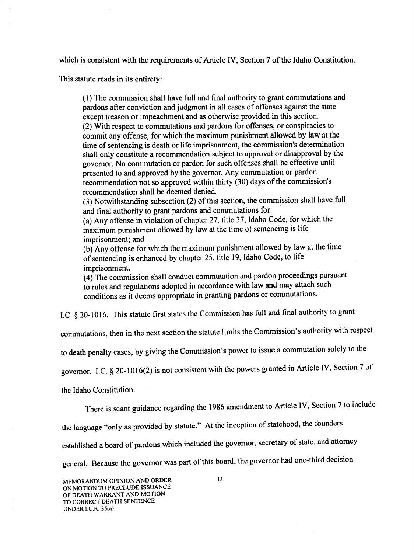which is consistent with the requirements of Article IV, Section 7 of the Idaho Constitution.

This statute reads in its entirety:

(1) The commission shall have full and final authority to grant commutations and pardons after conviction and judgment in all cases of offenses against the state except treason or impeachment and as otherwise provided in this section. (2) With respect to commutations and pardons for offenses, or conspiracies to commit any offense, for which the maximum punishment allowed by law at the time of sentencing is death or life imprisonment, the commission's determination shall only constitute a recommendation subject to approval or disapproval by the governor. No commutation or pardon for such offenses shall be effective until presented to and approved by the governor. Any commutation or pardon recommendation not so approved within thirty (30) days of the commission's recommendation shall be deemed denied.

(3) Notwithstanding subsection (2) of this section, the commission shall have full and final authority to grant pardons and commutations for:

(a) Any offense in violation of chapter 27, title 37, Idaho Code, for which the maximum punishment allowed by law at the time of sentencing is life imprisonment; and

(b) Any offense for which the maximum punishment allowed by law at the time of sentencing is enhanced by chapter 25, title l9, Idaho Code, to life imprisonment.

(4) The commission shall conduct commutation and pardon proceedings pursuant to rules and regulations adopted in accordance with law and may attach such conditions as it deems appropriate in granting pardons or commutations.

I.C.  $\S$  20-1016. This statute first states the Commission has full and final authority to grant

commutations, then in the next section the statute limits the Commission's authority with respect

to death penalty cases, by giving the Commission's power to issue a commutation solely to the

governor. I.C.  $\S$  20-1016(2) is not consistent with the powers granted in Article IV, Section 7 of

the Idaho Constitution.

There is scant guidance regarding the 1986 amendment to Article IV, Section 7 to include

the language "only as provided by statute." At the inception of statehood, the founders

established a board of pardons which included the governor, secretary of state, and attorney

general. Because the governor was part of this board, the governor had one-third decision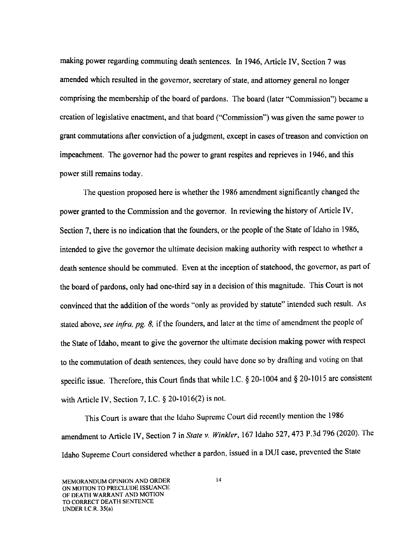making power regarding commuting death sentences. In 1946, Article IV, Section 7 was amended which resulted in the governor, secretary of state, and attorney general no longer comprising the membership of the board of pardons. 'Ihe board (later "Commission") became creation of legislative enactment, and that board ("Commission") was given the same power to grant commutations after conviction of a judgment, except in cases of treason and conviction on impeachment. The governor had the power to grant respites and rcprieves in 1946, and this power still remains today.

The question proposed here is whether the 1986 amendment significantly changed the power granted to the Commission and the governor. In reviewing the history of Article IV, Section 7, there is no indication that the founders, or the people of the State of Idaho in 1986, intended to give the governor the ultimate decision making authority with respect to whether a death sentence should be commuted. Even at the inception of statehood, the governor, as part of the board of pardons, only had one-third say in a decision of this magnitude. This Court is not convinced that the addition of the words "only as provided by statute" intended such result. As stated above, see infra, pg. 8, if the founders, and later at the time of amendment the people of the State of Idaho, meant to give the governor the ultimate decision making power with respect to the commutation of death sentences, they could have done so by drafting and voting on that specific issue. Therefore, this Court finds that while I.C.  $\S 20-1004$  and  $\S 20-1015$  are consistent with Article IV, Section 7, I.C.  $\S$  20-1016(2) is not.

This Court is aware that the Idaho Supreme Court did recently mention the <sup>1986</sup> amendment to Article IV, Section 7 in State v. Winkler, 167 Idaho 527, 473 P.3d 796 (2020). The Idaho Supreme Court considered whether a pardon, issued in a DUI case, prevented the State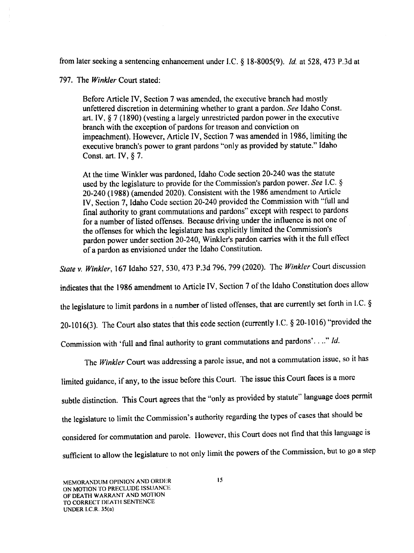from later seeking a sentencing enhancement under I.C.  $\S$  18-8005(9). Id. at 528, 473 P.3d at

797. The Winkler Court stated:

Before Article IV, Section 7 was amended, the executive branch had mostly unfettered discretion in determining whether to grant a pardon. See Idaho Const. art. IV, § 7 (1890) (vesting a largely unrestricted pardon power in the executive branch with the exception of pardons for treason and conviction on impeachment). However, Article IV, Section 7 was amended in 1986, limiting the executive branch's power to grant pardons "only as provided by statute." Idaho Const. art. IV,  $\S$  7.

At the time Winkler was pardoned, Idaho Code section 20-240 was the statute used by the legislature to provide for the Commission's pardon power. See I.C. § 20—240 (1988) (amended 2020). Consistent with the <sup>1986</sup> amendment to Article IV, Section 7, Idaho Code section 20-240 provided the Commission with "full and final authority to grant commutations and pardons" except with respect to pardons for a number of listed offenses. Because driving under the influence is not one of the offenses for which the legislature has explicitly limited the Commission's pardon power under section 20-240, Winkler's pardon carries with it the full effect of a pardon as envisioned under the Idaho Constitution.

State v. Winkler, 167 Idaho 527, 530, 473 P.3d 796, 799 (2020). The Winkler Court discussion

indicates that the 1986 amendment to Article IV, Section 7 of the Idaho Constitution does allow

the legislature to limit pardons in a number of listed offenses, that are currently set forth in l.C. §

20-1016(3). The Court also states that this code section (currently I.C.  $\S$  20-1016) "provided the

Commission with 'full and final authority to grant commutations and pardons'. .." 1d.

The Winkler Court was addressing a parole issue, and not a commutation issue, so it has limited guidance, if any, to the issue before this Court. The issue this Court faces is more subtle distinction. This Court agrees that the "only as provided by statute" language does permit the legislature to limit the Commission's authority regarding the types of eases that should be considered for commutation and parole. However, this Court does not find that this language is sufficient to allow the legislature to not only limit the powers of the Commission, but to go a step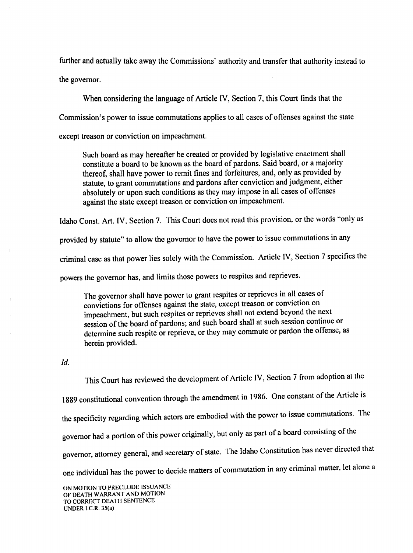further and actually take away the Commissions' authority and transfer that authority instead to actually take away the Commissions' authority and transfer that authority instead to the governor.

considering the language of Article IV, Section 7, this Court finds that the Commission's Commission's power to issue commutations applies to all cases of offenses against the state treason or conviction on impeachment.

 $S$ uch board as may hereafter be created or  $P$  is like that  $\gamma$  is given by  $S$ constitute board to be known as the board of parameters. Said board, or  $\mathcal{L}$ thereof, shall have power to remit tines and forfeitures, and, only as provided by statute, to grant commutations and pardons after conviction and judgment, either absolutely or upon such conditions as they may impose in all cases of offenses the state treason or conviction on impeachment.

ldaho Const. Art. IV, Section 7. 'l'his Court does not read this provision, or the words "only as

provided by statute "to allow the governor to have the power to issue commutations"

criminal case as that power lies solely with the Commission. There's 19, Section superfection

powers the governor has, and limits those powers to respites and reprieves.

'l'he governor shall have power to grant respites or reprieves in all cases of convictions for offenses against the state, except treason or convergence impeachment, but such respites or reprieves shall not extend beyond the next session of the board of pardons; and such board shall at such session continue or determine such respite or reprieve, or they may commute or pardon the offense, as herein provided. herein als a construction of the construction of the construction of the construction of the construction of the

 $\mathcal{U}$ .

This Court has reviewed the development of Article IV, Section 7 from adoption at the <sup>1889</sup> constitutional convention through the amendment in 1986. One constant of the Article is the specificity regarding which actors are embodied with the power to issue commutations. governor had a portion of this power originally, but only as part of a board consisting of the governor, attorney general, and secretary of state. The Idaho Constitution has never directed that one individual has the power to decide matters of commutation in any criminal matter, let alone

provided.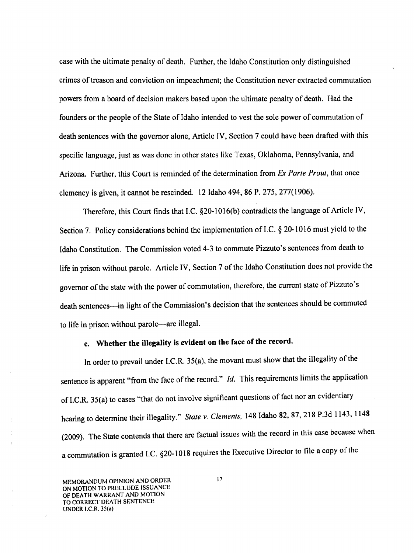case with the ultimate penalty of death. Further, the Idaho Constitution only distinguished crimes of treason and conviction on impeachment; the Constitution never extracted commutation powers from board of decision makers based upon the ultimate penalty of death. Had the founders or the people of the State of Idaho intended to vest the sole power of commutation of death sentences with the governor alone, Article IV, Section 7 could have been drafted with this specific language, just as was done in other states like Texas, Oklahoma, Pennsylvania, and Arizona. Further, this Court is reminded of the determination from Ex Parte Prout, that once clemency is given, it cannot be rescinded. <sup>12</sup> Idaho 494, <sup>86</sup> P. 275, 277(1906).

Therefore, this Court finds that LC. §20-1016(b) contradicts the language of Article IV, Section 7. Policy considerations behind the implementation of I.C. § 20-1016 must yield to the Idaho Constitution. The Commission voted 4-3 to commute Pizzuto's sentences from death to life in prison without parole. Article IV, Section 7 of the Idaho Constitution does not provide the governor of the state with the power of commutation, therefore, the current state of Pizzuto's death sentences—in light of the Commission's decision that the sentences should be commuted to life in prison without parole—are illegal.

# c. Whether the illegality is evident on the face of the record.

In order to prevail under I.C.R. 35(a), the movant must show that the illegality of the sentence is apparent "from the face of the record." *Id.* This requirements limits the application of I.C.R. 35(a) to cases "that do not involve significant questions of fact nor an evidentiary hearing to determine their illegality." State v. Clements, I48 Idaho 82, 87, <sup>218</sup> P.3d 1143, <sup>1148</sup> (2009). The State contends that there are factual issues with the record in this case because when commutation is granted I.C. §20-1018 requires the Executive Director to file copy of the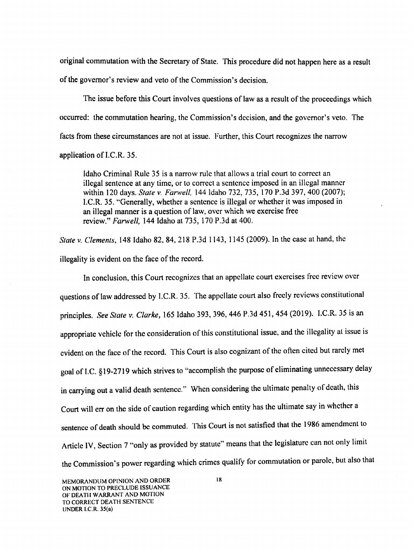original commutation with the Secretary of State. This procedure did not happen here as a result of the govemor's review and veto of the Commission's decision.

The issue before this Court involves questions of law as a result of the proceedings which occurred: the commutation hearing, the Commission's decision, and the govemor's veto. The facts from these circumstances are not at issue. Further, this Court recognizes the narrow application of I.C.R. 35.

Idaho Criminal Rule 35 is a narrow rule that allows a trial court to correct an illegal sentence at any time, or to correct a sentence imposed in an illegal manner within 120 days. State v. Farwell, 144 Idaho 732, 735, 170 P.3d 397, 400 (2007); l.C.R. 35. "Generally, whether sentence is illegal or whether it was imposed in an illegal manner is a question of law, over which we exercise free review." Farwell, 144 Idaho at 735, 170 P.3d at 400.

State v. Clements, 148 Idaho 82, 84, 218 P.3d 1143, 1145 (2009). In the case at hand, the illegality is evident on the face of the record.

In conclusion, this Court recognizes that an appellate court exercises free review over questions of law addressed by l.C.R. 35. The appellate court also freely reviews constitutional principles. See State v. Clarke, 165 Idaho 393, 396, 446 P.3d 451, 454 (2019). I.C.R. 35 is an appropriate vehicle for the consideration of this constitutional issue, and the illegality at issue is evident on the face of the record. This Court is also cognizant of the ofien cited but rarely met goal of I.C. §l9-27l9 which strives to "accomplish the purpose of eliminating unnecessary delay in carrying out a valid death sentence." When considering the ultimate penalty of death, this Court will err on the side of caution regarding which entity has the ultimate say in whether a sentence of death should be commuted. This Court is not satisfied that the I986 amendment to Article IV, Section 7 "only as provided by statute" means that the legislature can not only limit the Commission's power regarding which crimes qualify for commutation or parole, but also that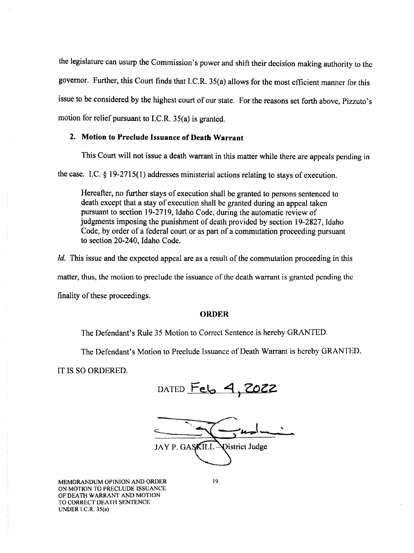the legislature can usurp the Commission's power and shift their decision making authority to the governor. Further, this Court finds that I.C.R. 35(a) allows for the most efficient manner for this issue to be considered by the highest court of our state. For the reasons set forth above, Pizzuto's motion for relief pursuant to I.C.R. 35(a) is granted.

## 2. Motion to Preclude Issuance of Death Warrant

This Court will not issue a death warrant in this matter while there are appeals pending in

the case. I.C.  $\S 19-2715(1)$  addresses ministerial actions relating to stays of execution.

Hereafter, no further stays of execution shall be granted to persons sentenced to death except that a stay of execution shall be granted during an appeal taken pursuant to section 19—2719, Idaho Code, during the automatic review of judgments imposing the punishment of death provided by section 19-2827, Idaho Code, by order of a federal court or as part of a commutation proceeding pursuant to section 20-240, Idaho Code.

Id. This issue and the expected appeal are as a result of the commutation proceeding in this matter, thus, the motion to preclude the issuance of the death warrant is granted pending the finality of these proceedings.

## ORDER

The Defendant's Rule <sup>35</sup> Motion to Correct Sentence is hereby GRANTED.

The Defendant's Motion to Preclude Issuance of Death Warrant is hereby GRANTED.

IT IS so ORDERED.

DATED Feb 4, 2022

 $\frac{1}{\sqrt{2\pi}}$  $\ddotsc$ JAY P. GASKILL- $\bigcup$ **Vistrict Judge** 

MEMORANDUM OPINION AND ORDER 19 ON MOTION TO PRECLUDE ISSUANCE OF DEATH WARRANT AND MOTION TO CORRECT DEATH SENTENCE UNDER l.C.R. 35(a)